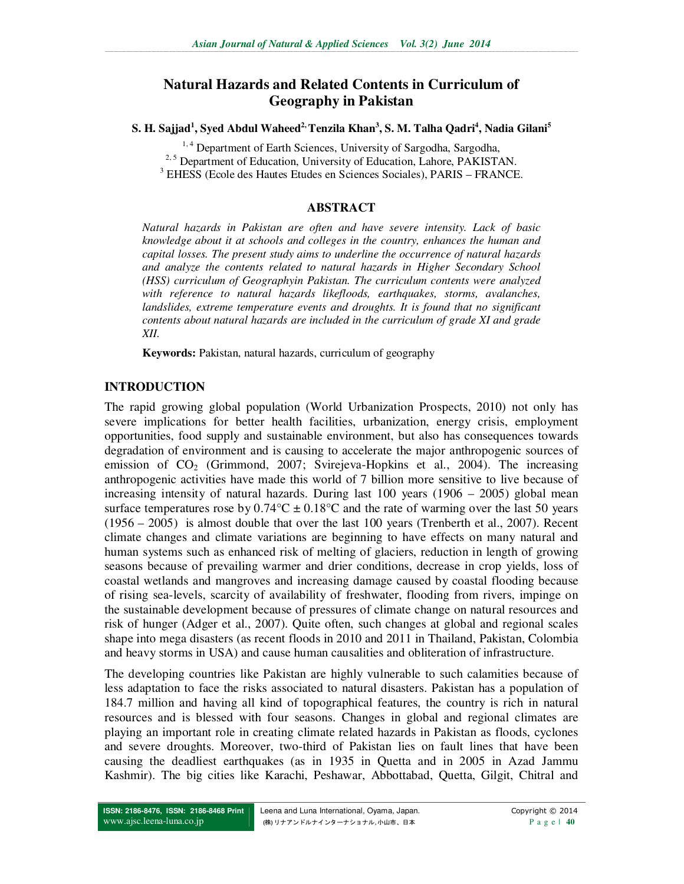# **Natural Hazards and Related Contents in Curriculum of Geography in Pakistan**

**S. H. Sajjad<sup>1</sup> , Syed Abdul Waheed2, Tenzila Khan<sup>3</sup> , S. M. Talha Qadri<sup>4</sup> , Nadia Gilani<sup>5</sup>**

<sup>1,4</sup> Department of Earth Sciences, University of Sargodha, Sargodha,

<sup>2, 5</sup> Department of Education, University of Education, Lahore, PAKISTAN.

3 EHESS (Ecole des Hautes Etudes en Sciences Sociales), PARIS – FRANCE.

### **ABSTRACT**

*Natural hazards in Pakistan are often and have severe intensity. Lack of basic knowledge about it at schools and colleges in the country, enhances the human and capital losses. The present study aims to underline the occurrence of natural hazards and analyze the contents related to natural hazards in Higher Secondary School (HSS) curriculum of Geographyin Pakistan. The curriculum contents were analyzed with reference to natural hazards likefloods, earthquakes, storms, avalanches, landslides, extreme temperature events and droughts. It is found that no significant contents about natural hazards are included in the curriculum of grade XI and grade XII.* 

**Keywords:** Pakistan, natural hazards, curriculum of geography

## **INTRODUCTION**

The rapid growing global population (World Urbanization Prospects, 2010) not only has severe implications for better health facilities, urbanization, energy crisis, employment opportunities, food supply and sustainable environment, but also has consequences towards degradation of environment and is causing to accelerate the major anthropogenic sources of emission of  $CO<sub>2</sub>$  (Grimmond, 2007; Svirejeva-Hopkins et al., 2004). The increasing anthropogenic activities have made this world of 7 billion more sensitive to live because of increasing intensity of natural hazards. During last 100 years (1906 – 2005) global mean surface temperatures rose by  $0.74^{\circ}C \pm 0.18^{\circ}C$  and the rate of warming over the last 50 years (1956 – 2005) is almost double that over the last 100 years (Trenberth et al., 2007). Recent climate changes and climate variations are beginning to have effects on many natural and human systems such as enhanced risk of melting of glaciers, reduction in length of growing seasons because of prevailing warmer and drier conditions, decrease in crop yields, loss of coastal wetlands and mangroves and increasing damage caused by coastal flooding because of rising sea-levels, scarcity of availability of freshwater, flooding from rivers, impinge on the sustainable development because of pressures of climate change on natural resources and risk of hunger (Adger et al., 2007). Quite often, such changes at global and regional scales shape into mega disasters (as recent floods in 2010 and 2011 in Thailand, Pakistan, Colombia and heavy storms in USA) and cause human causalities and obliteration of infrastructure.

The developing countries like Pakistan are highly vulnerable to such calamities because of less adaptation to face the risks associated to natural disasters. Pakistan has a population of 184.7 million and having all kind of topographical features, the country is rich in natural resources and is blessed with four seasons. Changes in global and regional climates are playing an important role in creating climate related hazards in Pakistan as floods, cyclones and severe droughts. Moreover, two-third of Pakistan lies on fault lines that have been causing the deadliest earthquakes (as in 1935 in Quetta and in 2005 in Azad Jammu Kashmir). The big cities like Karachi, Peshawar, Abbottabad, Quetta, Gilgit, Chitral and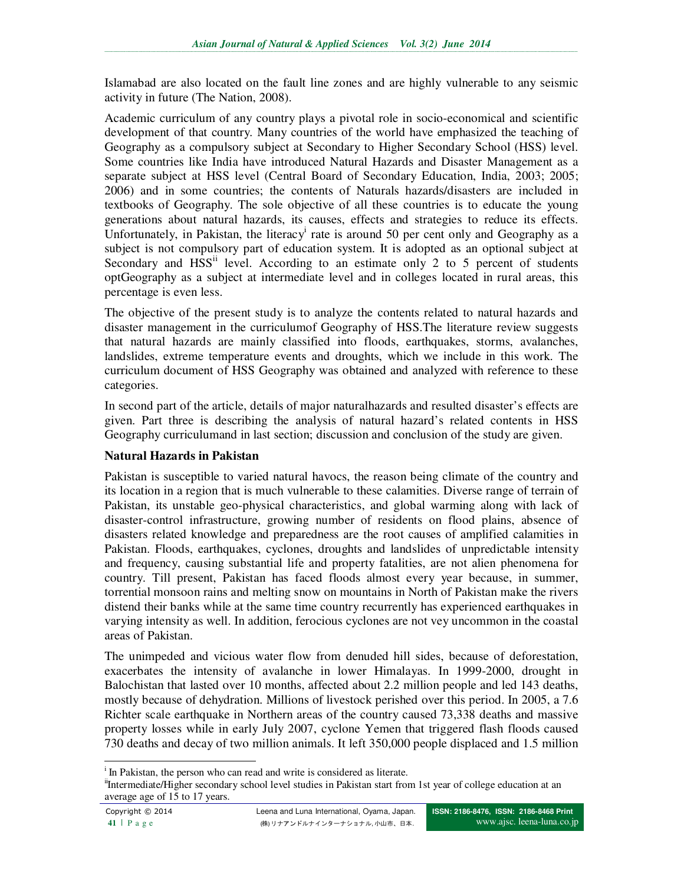Islamabad are also located on the fault line zones and are highly vulnerable to any seismic activity in future (The Nation, 2008).

Academic curriculum of any country plays a pivotal role in socio-economical and scientific development of that country. Many countries of the world have emphasized the teaching of Geography as a compulsory subject at Secondary to Higher Secondary School (HSS) level. Some countries like India have introduced Natural Hazards and Disaster Management as a separate subject at HSS level (Central Board of Secondary Education, India, 2003; 2005; 2006) and in some countries; the contents of Naturals hazards/disasters are included in textbooks of Geography. The sole objective of all these countries is to educate the young generations about natural hazards, its causes, effects and strategies to reduce its effects. Unfortunately, in Pakistan, the literacy<sup>i</sup> rate is around 50 per cent only and Geography as a subject is not compulsory part of education system. It is adopted as an optional subject at Secondary and  $HSS<sup>ii</sup>$  level. According to an estimate only 2 to 5 percent of students optGeography as a subject at intermediate level and in colleges located in rural areas, this percentage is even less.

The objective of the present study is to analyze the contents related to natural hazards and disaster management in the curriculumof Geography of HSS.The literature review suggests that natural hazards are mainly classified into floods, earthquakes, storms, avalanches, landslides, extreme temperature events and droughts, which we include in this work. The curriculum document of HSS Geography was obtained and analyzed with reference to these categories.

In second part of the article, details of major naturalhazards and resulted disaster's effects are given. Part three is describing the analysis of natural hazard's related contents in HSS Geography curriculumand in last section; discussion and conclusion of the study are given.

#### **Natural Hazards in Pakistan**

Pakistan is susceptible to varied natural havocs, the reason being climate of the country and its location in a region that is much vulnerable to these calamities. Diverse range of terrain of Pakistan, its unstable geo-physical characteristics, and global warming along with lack of disaster-control infrastructure, growing number of residents on flood plains, absence of disasters related knowledge and preparedness are the root causes of amplified calamities in Pakistan. Floods, earthquakes, cyclones, droughts and landslides of unpredictable intensity and frequency, causing substantial life and property fatalities, are not alien phenomena for country. Till present, Pakistan has faced floods almost every year because, in summer, torrential monsoon rains and melting snow on mountains in North of Pakistan make the rivers distend their banks while at the same time country recurrently has experienced earthquakes in varying intensity as well. In addition, ferocious cyclones are not vey uncommon in the coastal areas of Pakistan.

The unimpeded and vicious water flow from denuded hill sides, because of deforestation, exacerbates the intensity of avalanche in lower Himalayas. In 1999-2000, drought in Balochistan that lasted over 10 months, affected about 2.2 million people and led 143 deaths, mostly because of dehydration. Millions of livestock perished over this period. In 2005, a 7.6 Richter scale earthquake in Northern areas of the country caused 73,338 deaths and massive property losses while in early July 2007, cyclone Yemen that triggered flash floods caused 730 deaths and decay of two million animals. It left 350,000 people displaced and 1.5 million

 $\overline{a}$ 

<sup>&</sup>lt;sup>i</sup> In Pakistan, the person who can read and write is considered as literate.

<sup>&</sup>lt;sup>ii</sup>Intermediate/Higher secondary school level studies in Pakistan start from 1st year of college education at an average age of 15 to 17 years.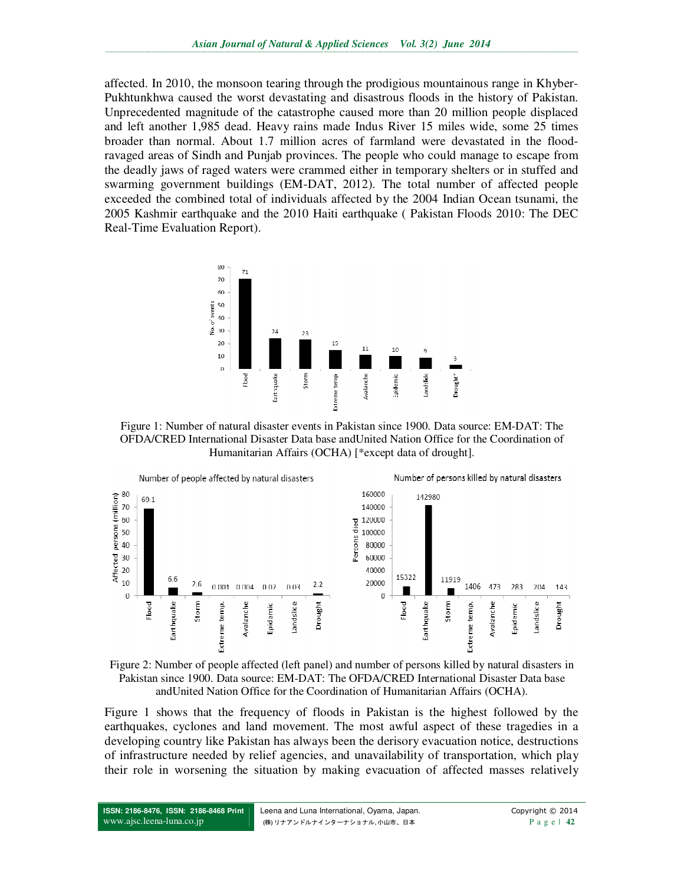affected. In 2010, the monsoon tearing through the prodigious mountainous range in Khyber-Pukhtunkhwa caused the worst devastating and disastrous floods in the history of Pakistan. Unprecedented magnitude of the catastrophe caused more than 20 million people displaced and left another 1,985 dead. Heavy rains made Indus River 15 miles wide, some 25 times broader than normal. About 1.7 million acres of farmland were devastated in the floodravaged areas of Sindh and Punjab provinces. The people who could manage to escape from the deadly jaws of raged waters were crammed either in temporary shelters or in stuffed and swarming government buildings (EM-DAT, 2012). The total number of affected people exceeded the combined total of individuals affected by the 2004 Indian Ocean tsunami, the 2005 Kashmir earthquake and the 2010 Haiti earthquake ( Pakistan Floods 2010: The DEC Real-Time Evaluation Report).



Figure 1: Number of natural disaster events in Pakistan since 1900. Data source: EM-DAT: The OFDA/CRED International Disaster Data base andUnited Nation Office for the Coordination of Humanitarian Affairs (OCHA) [\*except data of drought].





Figure 1 shows that the frequency of floods in Pakistan is the highest followed by the earthquakes, cyclones and land movement. The most awful aspect of these tragedies in a developing country like Pakistan has always been the derisory evacuation notice, destructions of infrastructure needed by relief agencies, and unavailability of transportation, which play their role in worsening the situation by making evacuation of affected masses relatively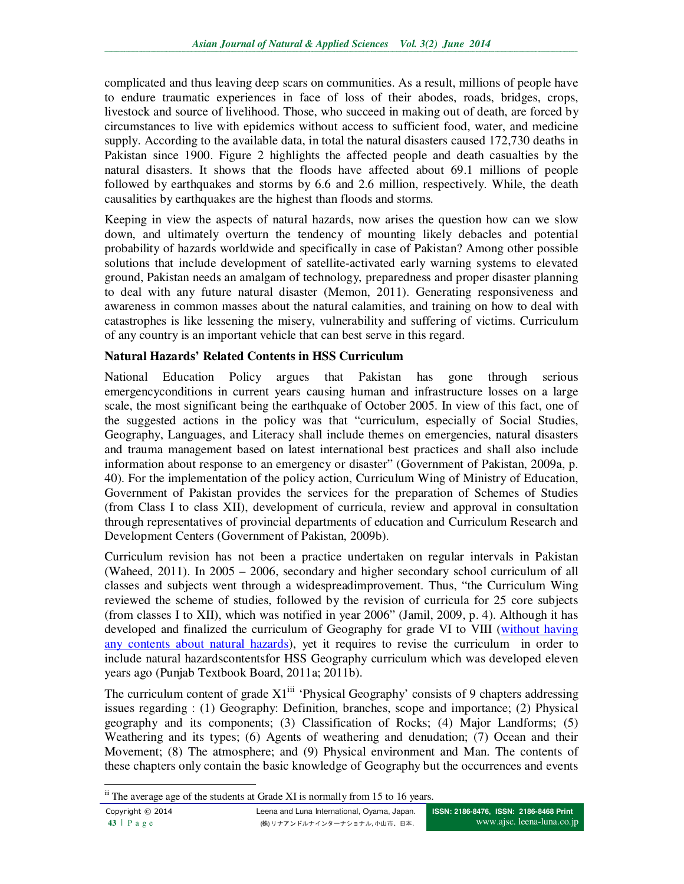complicated and thus leaving deep scars on communities. As a result, millions of people have to endure traumatic experiences in face of loss of their abodes, roads, bridges, crops, livestock and source of livelihood. Those, who succeed in making out of death, are forced by circumstances to live with epidemics without access to sufficient food, water, and medicine supply. According to the available data, in total the natural disasters caused 172,730 deaths in Pakistan since 1900. Figure 2 highlights the affected people and death casualties by the natural disasters. It shows that the floods have affected about 69.1 millions of people followed by earthquakes and storms by 6.6 and 2.6 million, respectively. While, the death causalities by earthquakes are the highest than floods and storms.

Keeping in view the aspects of natural hazards, now arises the question how can we slow down, and ultimately overturn the tendency of mounting likely debacles and potential probability of hazards worldwide and specifically in case of Pakistan? Among other possible solutions that include development of satellite-activated early warning systems to elevated ground, Pakistan needs an amalgam of technology, preparedness and proper disaster planning to deal with any future natural disaster (Memon, 2011). Generating responsiveness and awareness in common masses about the natural calamities, and training on how to deal with catastrophes is like lessening the misery, vulnerability and suffering of victims. Curriculum of any country is an important vehicle that can best serve in this regard.

#### **Natural Hazards' Related Contents in HSS Curriculum**

National Education Policy argues that Pakistan has gone through serious emergencyconditions in current years causing human and infrastructure losses on a large scale, the most significant being the earthquake of October 2005. In view of this fact, one of the suggested actions in the policy was that "curriculum, especially of Social Studies, Geography, Languages, and Literacy shall include themes on emergencies, natural disasters and trauma management based on latest international best practices and shall also include information about response to an emergency or disaster" (Government of Pakistan, 2009a, p. 40). For the implementation of the policy action, Curriculum Wing of Ministry of Education, Government of Pakistan provides the services for the preparation of Schemes of Studies (from Class I to class XII), development of curricula, review and approval in consultation through representatives of provincial departments of education and Curriculum Research and Development Centers (Government of Pakistan, 2009b).

Curriculum revision has not been a practice undertaken on regular intervals in Pakistan (Waheed, 2011). In 2005 – 2006, secondary and higher secondary school curriculum of all classes and subjects went through a widespreadimprovement. Thus, "the Curriculum Wing reviewed the scheme of studies, followed by the revision of curricula for 25 core subjects (from classes I to XII), which was notified in year 2006" (Jamil, 2009, p. 4). Although it has developed and finalized the curriculum of Geography for grade VI to VIII (without having any contents about natural hazards), yet it requires to revise the curriculum in order to include natural hazardscontentsfor HSS Geography curriculum which was developed eleven years ago (Punjab Textbook Board, 2011a; 2011b).

The curriculum content of grade  $X1^{iii}$  'Physical Geography' consists of 9 chapters addressing issues regarding : (1) Geography: Definition, branches, scope and importance; (2) Physical geography and its components; (3) Classification of Rocks; (4) Major Landforms; (5) Weathering and its types; (6) Agents of weathering and denudation; (7) Ocean and their Movement; (8) The atmosphere; and (9) Physical environment and Man. The contents of these chapters only contain the basic knowledge of Geography but the occurrences and events

 $\overline{a}$ iii The average age of the students at Grade XI is normally from 15 to 16 years.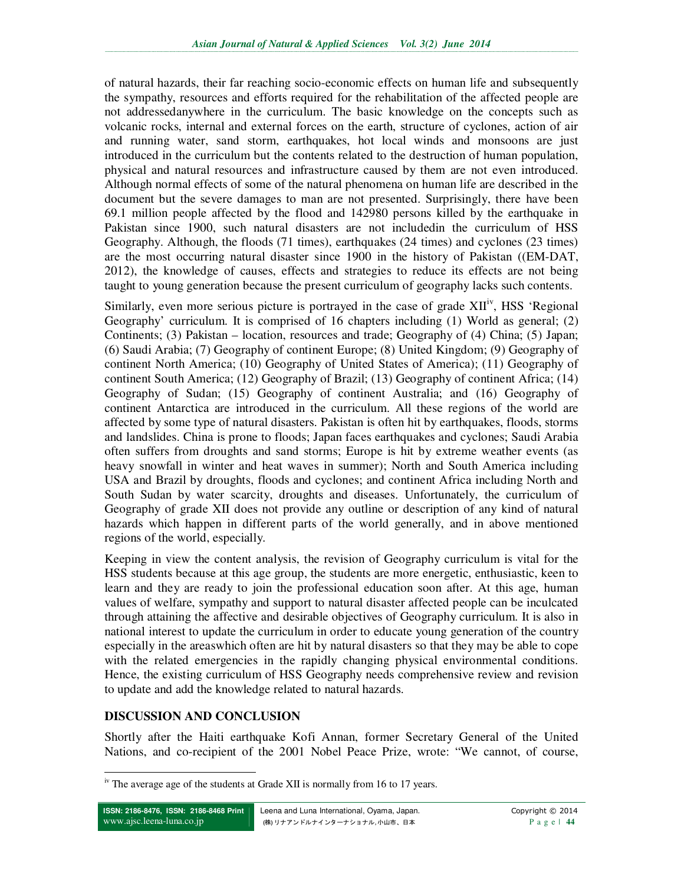of natural hazards, their far reaching socio-economic effects on human life and subsequently the sympathy, resources and efforts required for the rehabilitation of the affected people are not addressedanywhere in the curriculum. The basic knowledge on the concepts such as volcanic rocks, internal and external forces on the earth, structure of cyclones, action of air and running water, sand storm, earthquakes, hot local winds and monsoons are just introduced in the curriculum but the contents related to the destruction of human population, physical and natural resources and infrastructure caused by them are not even introduced. Although normal effects of some of the natural phenomena on human life are described in the document but the severe damages to man are not presented. Surprisingly, there have been 69.1 million people affected by the flood and 142980 persons killed by the earthquake in Pakistan since 1900, such natural disasters are not includedin the curriculum of HSS Geography. Although, the floods (71 times), earthquakes (24 times) and cyclones (23 times) are the most occurring natural disaster since 1900 in the history of Pakistan ((EM-DAT, 2012), the knowledge of causes, effects and strategies to reduce its effects are not being taught to young generation because the present curriculum of geography lacks such contents.

Similarly, even more serious picture is portrayed in the case of grade  $XII<sup>iv</sup>$ , HSS 'Regional Geography' curriculum. It is comprised of 16 chapters including (1) World as general; (2) Continents; (3) Pakistan – location, resources and trade; Geography of (4) China; (5) Japan; (6) Saudi Arabia; (7) Geography of continent Europe; (8) United Kingdom; (9) Geography of continent North America; (10) Geography of United States of America); (11) Geography of continent South America; (12) Geography of Brazil; (13) Geography of continent Africa; (14) Geography of Sudan; (15) Geography of continent Australia; and (16) Geography of continent Antarctica are introduced in the curriculum. All these regions of the world are affected by some type of natural disasters. Pakistan is often hit by earthquakes, floods, storms and landslides. China is prone to floods; Japan faces earthquakes and cyclones; Saudi Arabia often suffers from droughts and sand storms; Europe is hit by extreme weather events (as heavy snowfall in winter and heat waves in summer); North and South America including USA and Brazil by droughts, floods and cyclones; and continent Africa including North and South Sudan by water scarcity, droughts and diseases. Unfortunately, the curriculum of Geography of grade XII does not provide any outline or description of any kind of natural hazards which happen in different parts of the world generally, and in above mentioned regions of the world, especially.

Keeping in view the content analysis, the revision of Geography curriculum is vital for the HSS students because at this age group, the students are more energetic, enthusiastic, keen to learn and they are ready to join the professional education soon after. At this age, human values of welfare, sympathy and support to natural disaster affected people can be inculcated through attaining the affective and desirable objectives of Geography curriculum. It is also in national interest to update the curriculum in order to educate young generation of the country especially in the areaswhich often are hit by natural disasters so that they may be able to cope with the related emergencies in the rapidly changing physical environmental conditions. Hence, the existing curriculum of HSS Geography needs comprehensive review and revision to update and add the knowledge related to natural hazards.

#### **DISCUSSION AND CONCLUSION**

Shortly after the Haiti earthquake Kofi Annan, former Secretary General of the United Nations, and co-recipient of the 2001 Nobel Peace Prize, wrote: "We cannot, of course,

 $\overline{a}$  $\frac{1}{10}$ <sup>iv</sup> The average age of the students at Grade XII is normally from 16 to 17 years.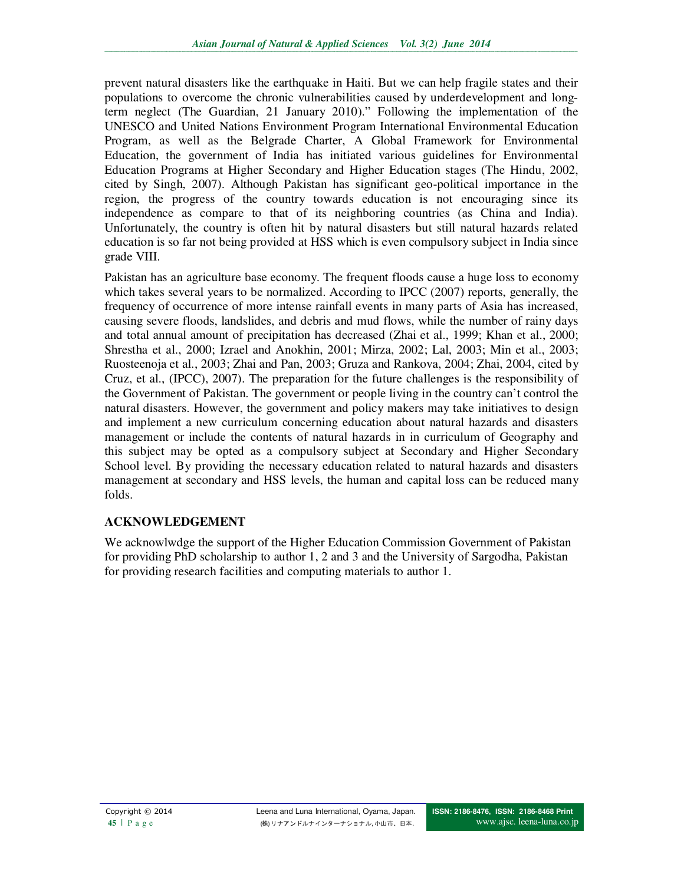prevent natural disasters like the earthquake in Haiti. But we can help fragile states and their populations to overcome the chronic vulnerabilities caused by underdevelopment and longterm neglect (The Guardian, 21 January 2010)." Following the implementation of the UNESCO and United Nations Environment Program International Environmental Education Program, as well as the Belgrade Charter, A Global Framework for Environmental Education, the government of India has initiated various guidelines for Environmental Education Programs at Higher Secondary and Higher Education stages (The Hindu, 2002, cited by Singh, 2007). Although Pakistan has significant geo-political importance in the region, the progress of the country towards education is not encouraging since its independence as compare to that of its neighboring countries (as China and India). Unfortunately, the country is often hit by natural disasters but still natural hazards related education is so far not being provided at HSS which is even compulsory subject in India since grade VIII.

Pakistan has an agriculture base economy. The frequent floods cause a huge loss to economy which takes several years to be normalized. According to IPCC (2007) reports, generally, the frequency of occurrence of more intense rainfall events in many parts of Asia has increased, causing severe floods, landslides, and debris and mud flows, while the number of rainy days and total annual amount of precipitation has decreased (Zhai et al., 1999; Khan et al., 2000; Shrestha et al., 2000; Izrael and Anokhin, 2001; Mirza, 2002; Lal, 2003; Min et al., 2003; Ruosteenoja et al., 2003; Zhai and Pan, 2003; Gruza and Rankova, 2004; Zhai, 2004, cited by Cruz, et al., (IPCC), 2007). The preparation for the future challenges is the responsibility of the Government of Pakistan. The government or people living in the country can't control the natural disasters. However, the government and policy makers may take initiatives to design and implement a new curriculum concerning education about natural hazards and disasters management or include the contents of natural hazards in in curriculum of Geography and this subject may be opted as a compulsory subject at Secondary and Higher Secondary School level. By providing the necessary education related to natural hazards and disasters management at secondary and HSS levels, the human and capital loss can be reduced many folds.

#### **ACKNOWLEDGEMENT**

We acknowlwdge the support of the Higher Education Commission Government of Pakistan for providing PhD scholarship to author 1, 2 and 3 and the University of Sargodha, Pakistan for providing research facilities and computing materials to author 1.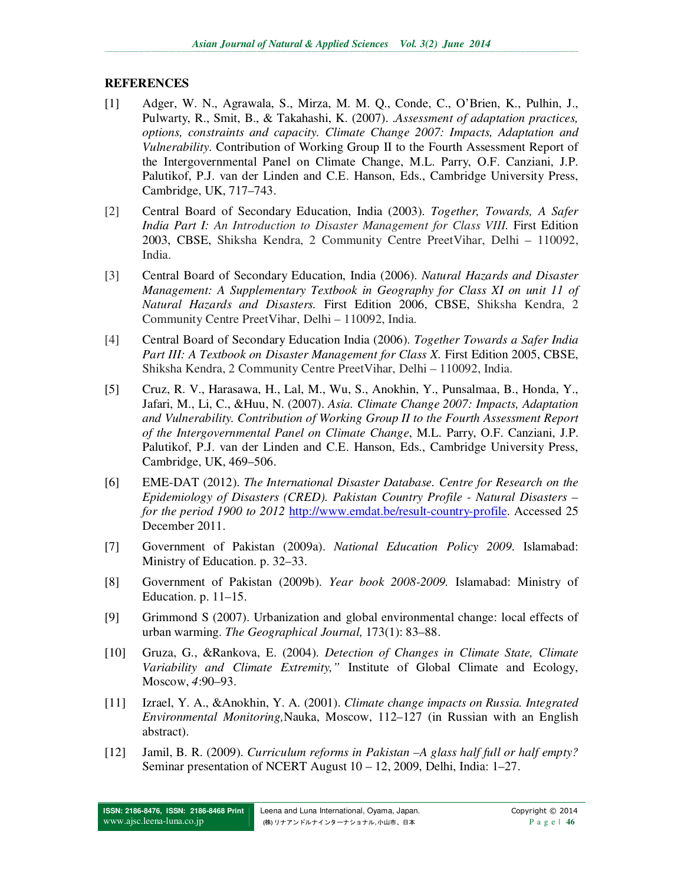#### **REFERENCES**

- [1] Adger, W. N., Agrawala, S., Mirza, M. M. Q., Conde, C., O'Brien, K., Pulhin, J., Pulwarty, R., Smit, B., & Takahashi, K. (2007). .*Assessment of adaptation practices, options, constraints and capacity. Climate Change 2007: Impacts, Adaptation and Vulnerability*. Contribution of Working Group II to the Fourth Assessment Report of the Intergovernmental Panel on Climate Change, M.L. Parry, O.F. Canziani, J.P. Palutikof, P.J. van der Linden and C.E. Hanson, Eds., Cambridge University Press, Cambridge, UK, 717–743.
- [2] Central Board of Secondary Education, India (2003). *Together, Towards, A Safer India Part I: An Introduction to Disaster Management for Class VIII.* First Edition 2003, CBSE, Shiksha Kendra, 2 Community Centre PreetVihar, Delhi – 110092, India.
- [3] Central Board of Secondary Education, India (2006). *Natural Hazards and Disaster Management: A Supplementary Textbook in Geography for Class XI on unit 11 of Natural Hazards and Disasters.* First Edition 2006, CBSE, Shiksha Kendra, 2 Community Centre PreetVihar, Delhi – 110092, India.
- [4] Central Board of Secondary Education India (2006). *Together Towards a Safer India Part III: A Textbook on Disaster Management for Class X.* First Edition 2005, CBSE, Shiksha Kendra, 2 Community Centre PreetVihar, Delhi – 110092, India.
- [5] Cruz, R. V., Harasawa, H., Lal, M., Wu, S., Anokhin, Y., Punsalmaa, B., Honda, Y., Jafari, M., Li, C., &Huu, N. (2007). *Asia. Climate Change 2007: Impacts, Adaptation and Vulnerability. Contribution of Working Group II to the Fourth Assessment Report of the Intergovernmental Panel on Climate Change*, M.L. Parry, O.F. Canziani, J.P. Palutikof, P.J. van der Linden and C.E. Hanson, Eds., Cambridge University Press, Cambridge, UK, 469–506.
- [6] EME-DAT (2012). *The International Disaster Database. Centre for Research on the Epidemiology of Disasters (CRED). Pakistan Country Profile - Natural Disasters – for the period 1900 to 2012* http://www.emdat.be/result-country-profile. Accessed 25 December 2011.
- [7] Government of Pakistan (2009a). *National Education Policy 2009*. Islamabad: Ministry of Education. p. 32–33.
- [8] Government of Pakistan (2009b). *Year book 2008-2009.* Islamabad: Ministry of Education. p. 11–15.
- [9] Grimmond S (2007). Urbanization and global environmental change: local effects of urban warming. *The Geographical Journal,* 173(1): 83–88.
- [10] Gruza, G., &Rankova, E. (2004). *Detection of Changes in Climate State, Climate Variability and Climate Extremity,"* Institute of Global Climate and Ecology, Moscow, *4*:90–93.
- [11] Izrael, Y. A., &Anokhin, Y. A. (2001). *Climate change impacts on Russia. Integrated Environmental Monitoring,*Nauka, Moscow, 112–127 (in Russian with an English abstract).
- [12] Jamil, B. R. (2009). *Curriculum reforms in Pakistan –A glass half full or half empty?*  Seminar presentation of NCERT August 10 – 12, 2009, Delhi, India: 1–27.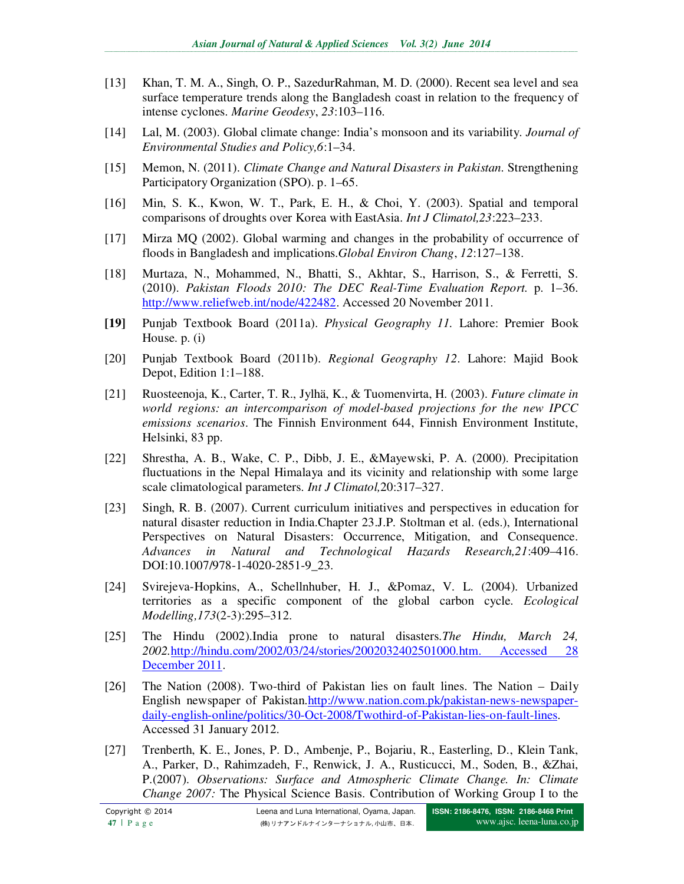- [13] Khan, T. M. A., Singh, O. P., SazedurRahman, M. D. (2000). Recent sea level and sea surface temperature trends along the Bangladesh coast in relation to the frequency of intense cyclones. *Marine Geodesy*, *23*:103–116.
- [14] Lal, M. (2003). Global climate change: India's monsoon and its variability. *Journal of Environmental Studies and Policy,6*:1–34.
- [15] Memon, N. (2011). *Climate Change and Natural Disasters in Pakistan.* Strengthening Participatory Organization (SPO). p. 1–65.
- [16] Min, S. K., Kwon, W. T., Park, E. H., & Choi, Y. (2003). Spatial and temporal comparisons of droughts over Korea with EastAsia. *Int J Climatol,23*:223–233.
- [17] Mirza MQ (2002). Global warming and changes in the probability of occurrence of floods in Bangladesh and implications.*Global Environ Chang*, *12*:127–138.
- [18] Murtaza, N., Mohammed, N., Bhatti, S., Akhtar, S., Harrison, S., & Ferretti, S. (2010). *Pakistan Floods 2010: The DEC Real-Time Evaluation Report.* p. 1–36. http://www.reliefweb.int/node/422482. Accessed 20 November 2011.
- **[19]** Punjab Textbook Board (2011a). *Physical Geography 11.* Lahore: Premier Book House. p. (i)
- [20] Punjab Textbook Board (2011b). *Regional Geography 12*. Lahore: Majid Book Depot, Edition 1:1–188.
- [21] Ruosteenoja, K., Carter, T. R., Jylhä, K., & Tuomenvirta, H. (2003). *Future climate in world regions: an intercomparison of model-based projections for the new IPCC emissions scenarios*. The Finnish Environment 644, Finnish Environment Institute, Helsinki, 83 pp.
- [22] Shrestha, A. B., Wake, C. P., Dibb, J. E., &Mayewski, P. A. (2000). Precipitation fluctuations in the Nepal Himalaya and its vicinity and relationship with some large scale climatological parameters. *Int J Climatol,*20:317–327.
- [23] Singh, R. B. (2007). Current curriculum initiatives and perspectives in education for natural disaster reduction in India.Chapter 23.J.P. Stoltman et al. (eds.), International Perspectives on Natural Disasters: Occurrence, Mitigation, and Consequence. *Advances in Natural and Technological Hazards Research,21*:409–416. DOI:10.1007/978-1-4020-2851-9\_23.
- [24] Svirejeva-Hopkins, A., Schellnhuber, H. J., &Pomaz, V. L. (2004). Urbanized territories as a specific component of the global carbon cycle. *Ecological Modelling,173*(2-3):295–312.
- [25] The Hindu (2002).India prone to natural disasters.*The Hindu, March 24, 2002.*http://hindu.com/2002/03/24/stories/2002032402501000.htm. Accessed 28 December 2011.
- [26] The Nation (2008). Two-third of Pakistan lies on fault lines. The Nation Daily English newspaper of Pakistan.http://www.nation.com.pk/pakistan-news-newspaperdaily-english-online/politics/30-Oct-2008/Twothird-of-Pakistan-lies-on-fault-lines. Accessed 31 January 2012.
- [27] Trenberth, K. E., Jones, P. D., Ambenje, P., Bojariu, R., Easterling, D., Klein Tank, A., Parker, D., Rahimzadeh, F., Renwick, J. A., Rusticucci, M., Soden, B., &Zhai, P.(2007). *Observations: Surface and Atmospheric Climate Change. In: Climate Change 2007:* The Physical Science Basis. Contribution of Working Group I to the